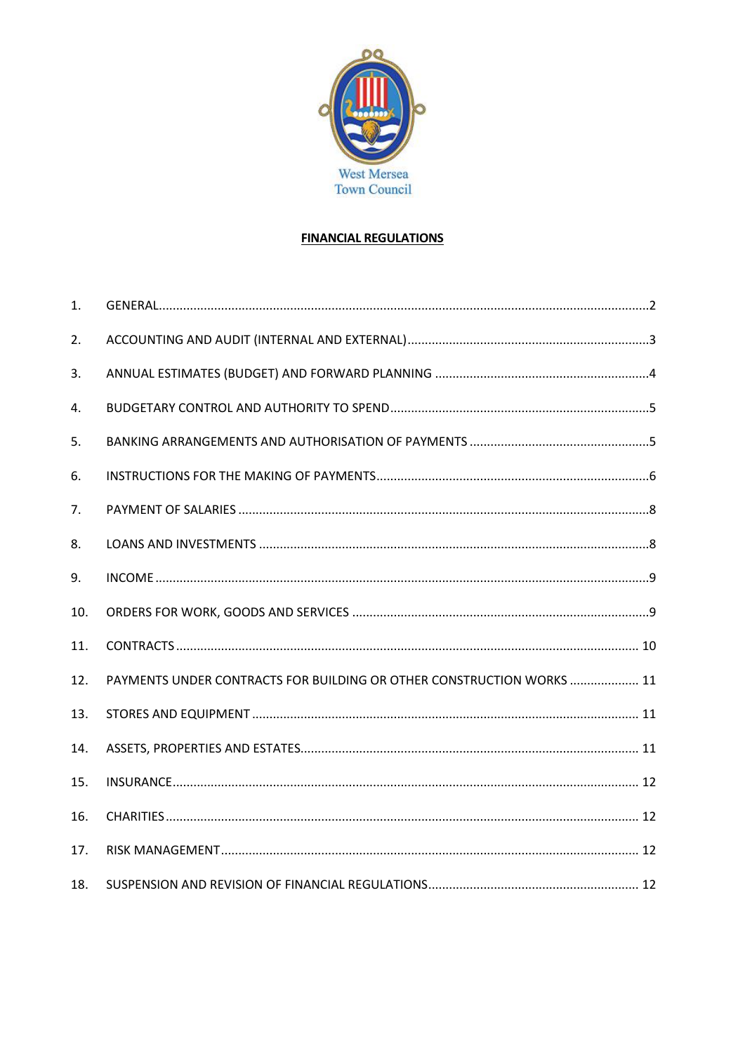

# **FINANCIAL REGULATIONS**

| 1.  |                                                                       |  |
|-----|-----------------------------------------------------------------------|--|
| 2.  |                                                                       |  |
| 3.  |                                                                       |  |
| 4.  |                                                                       |  |
| 5.  |                                                                       |  |
| 6.  |                                                                       |  |
| 7.  |                                                                       |  |
| 8.  |                                                                       |  |
| 9.  |                                                                       |  |
| 10. |                                                                       |  |
| 11. |                                                                       |  |
| 12. | PAYMENTS UNDER CONTRACTS FOR BUILDING OR OTHER CONSTRUCTION WORKS  11 |  |
| 13. |                                                                       |  |
| 14. |                                                                       |  |
| 15. |                                                                       |  |
| 16. |                                                                       |  |
| 17. |                                                                       |  |
| 18. |                                                                       |  |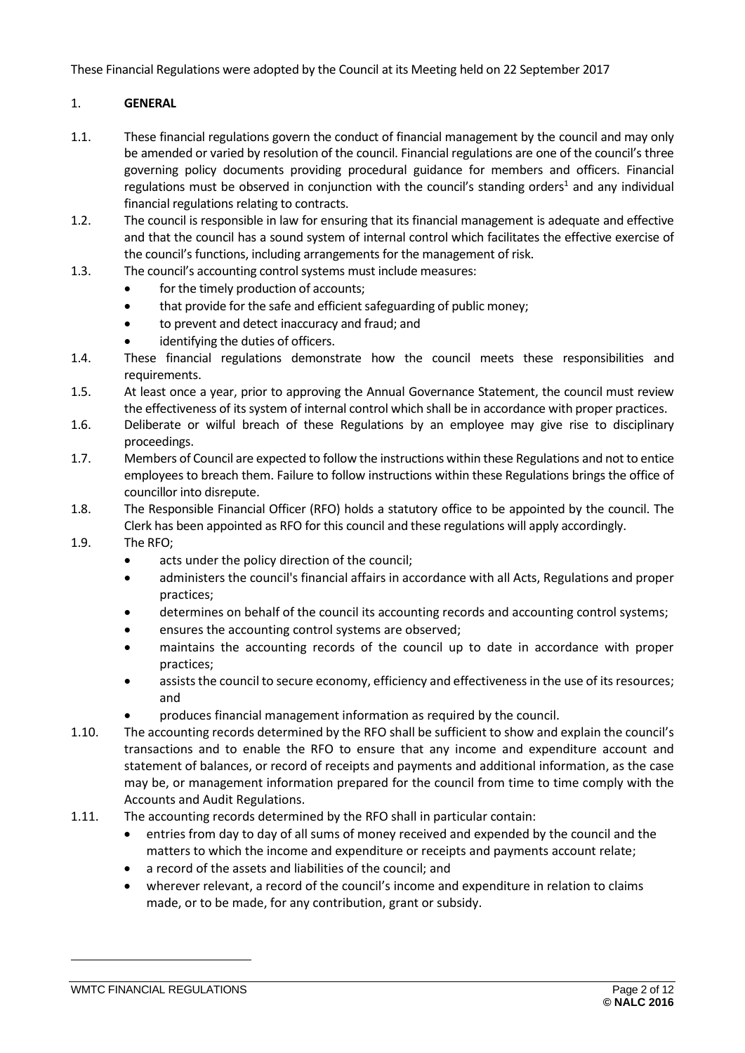These Financial Regulations were adopted by the Council at its Meeting held on 22 September 2017

### <span id="page-1-0"></span>1. **GENERAL**

- 1.1. These financial regulations govern the conduct of financial management by the council and may only be amended or varied by resolution of the council. Financial regulations are one of the council's three governing policy documents providing procedural guidance for members and officers. Financial regulations must be observed in conjunction with the council's standing orders<sup>1</sup> and any individual financial regulations relating to contracts.
- 1.2. The council is responsible in law for ensuring that its financial management is adequate and effective and that the council has a sound system of internal control which facilitates the effective exercise of the council's functions, including arrangements for the management of risk.
- 1.3. The council's accounting control systems must include measures:
	- for the timely production of accounts;
	- that provide for the safe and efficient safeguarding of public money;
	- to prevent and detect inaccuracy and fraud; and
	- identifying the duties of officers.
- 1.4. These financial regulations demonstrate how the council meets these responsibilities and requirements.
- 1.5. At least once a year, prior to approving the Annual Governance Statement, the council must review the effectiveness of its system of internal control which shall be in accordance with proper practices.
- 1.6. Deliberate or wilful breach of these Regulations by an employee may give rise to disciplinary proceedings.
- 1.7. Members of Council are expected to follow the instructions within these Regulations and not to entice employees to breach them. Failure to follow instructions within these Regulations brings the office of councillor into disrepute.
- 1.8. The Responsible Financial Officer (RFO) holds a statutory office to be appointed by the council. The Clerk has been appointed as RFO for this council and these regulations will apply accordingly.
- 1.9. The RFO;
	- acts under the policy direction of the council;
	- administers the council's financial affairs in accordance with all Acts, Regulations and proper practices;
	- determines on behalf of the council its accounting records and accounting control systems;
	- ensures the accounting control systems are observed;
	- maintains the accounting records of the council up to date in accordance with proper practices;
	- assists the council to secure economy, efficiency and effectiveness in the use of its resources; and
	- produces financial management information as required by the council.
- 1.10. The accounting records determined by the RFO shall be sufficient to show and explain the council's transactions and to enable the RFO to ensure that any income and expenditure account and statement of balances, or record of receipts and payments and additional information, as the case may be, or management information prepared for the council from time to time comply with the Accounts and Audit Regulations.
- 1.11. The accounting records determined by the RFO shall in particular contain:
	- entries from day to day of all sums of money received and expended by the council and the matters to which the income and expenditure or receipts and payments account relate;
	- a record of the assets and liabilities of the council; and
	- wherever relevant, a record of the council's income and expenditure in relation to claims made, or to be made, for any contribution, grant or subsidy.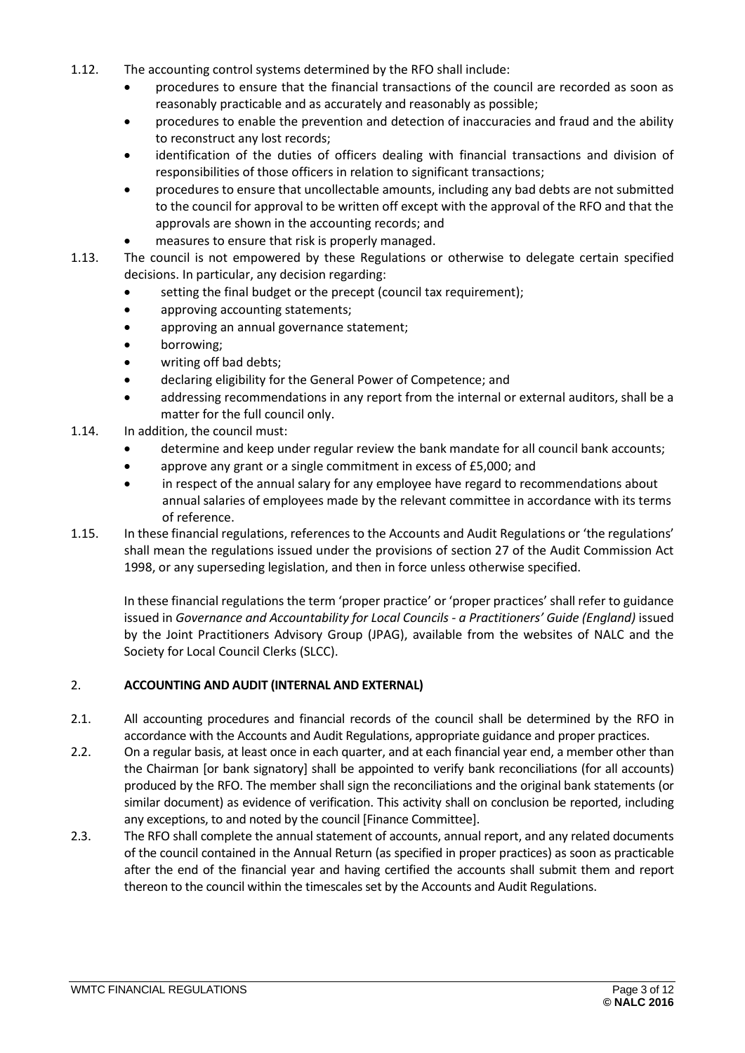- 1.12. The accounting control systems determined by the RFO shall include:
	- procedures to ensure that the financial transactions of the council are recorded as soon as reasonably practicable and as accurately and reasonably as possible;
	- procedures to enable the prevention and detection of inaccuracies and fraud and the ability to reconstruct any lost records;
	- identification of the duties of officers dealing with financial transactions and division of responsibilities of those officers in relation to significant transactions;
	- procedures to ensure that uncollectable amounts, including any bad debts are not submitted to the council for approval to be written off except with the approval of the RFO and that the approvals are shown in the accounting records; and
	- measures to ensure that risk is properly managed.
- 1.13. The council is not empowered by these Regulations or otherwise to delegate certain specified decisions. In particular, any decision regarding:
	- setting the final budget or the precept (council tax requirement);
	- approving accounting statements;
	- approving an annual governance statement;
	- borrowing;
	- writing off bad debts;
	- declaring eligibility for the General Power of Competence; and
	- addressing recommendations in any report from the internal or external auditors, shall be a matter for the full council only.
- 1.14. In addition, the council must:
	- determine and keep under regular review the bank mandate for all council bank accounts;
	- approve any grant or a single commitment in excess of £5,000; and
	- in respect of the annual salary for any employee have regard to recommendations about annual salaries of employees made by the relevant committee in accordance with its terms of reference.
- 1.15. In these financial regulations, references to the Accounts and Audit Regulations or 'the regulations' shall mean the regulations issued under the provisions of section 27 of the Audit Commission Act 1998, or any superseding legislation, and then in force unless otherwise specified.

In these financial regulations the term 'proper practice' or 'proper practices' shall refer to guidance issued in *Governance and Accountability for Local Councils - a Practitioners' Guide (England)* issued by the Joint Practitioners Advisory Group (JPAG), available from the websites of NALC and the Society for Local Council Clerks (SLCC).

### <span id="page-2-0"></span>2. **ACCOUNTING AND AUDIT (INTERNAL AND EXTERNAL)**

- 2.1. All accounting procedures and financial records of the council shall be determined by the RFO in accordance with the Accounts and Audit Regulations, appropriate guidance and proper practices.
- 2.2. On a regular basis, at least once in each quarter, and at each financial year end, a member other than the Chairman [or bank signatory] shall be appointed to verify bank reconciliations (for all accounts) produced by the RFO. The member shall sign the reconciliations and the original bank statements (or similar document) as evidence of verification. This activity shall on conclusion be reported, including any exceptions, to and noted by the council [Finance Committee].
- 2.3. The RFO shall complete the annual statement of accounts, annual report, and any related documents of the council contained in the Annual Return (as specified in proper practices) as soon as practicable after the end of the financial year and having certified the accounts shall submit them and report thereon to the council within the timescales set by the Accounts and Audit Regulations.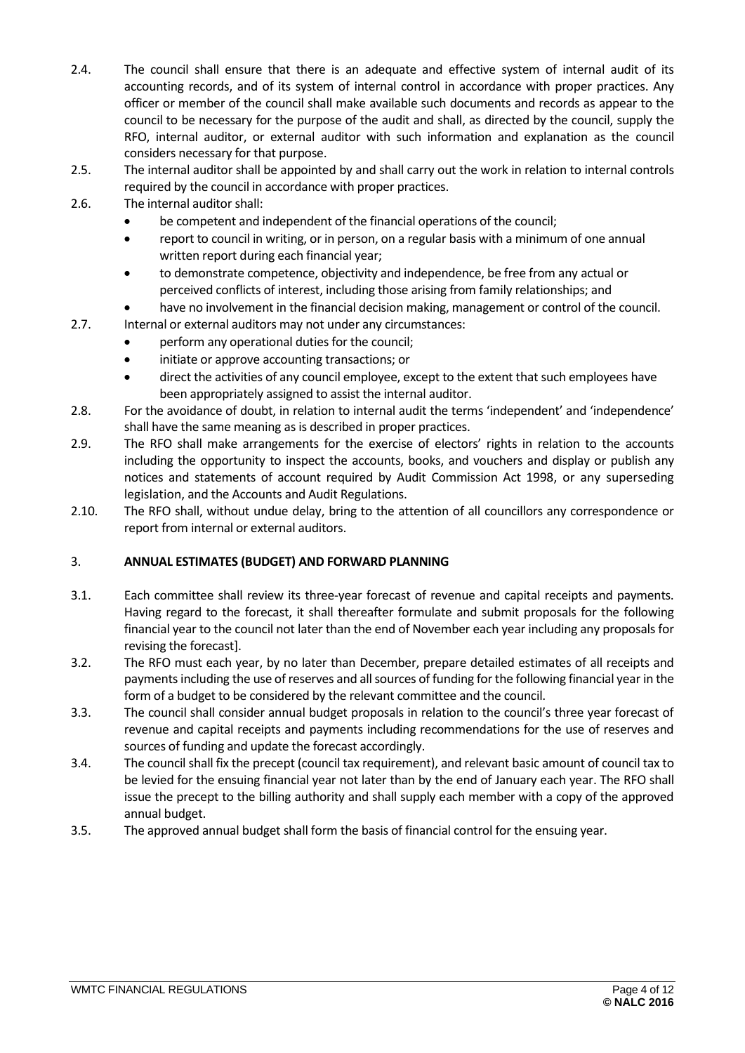- 2.4. The council shall ensure that there is an adequate and effective system of internal audit of its accounting records, and of its system of internal control in accordance with proper practices. Any officer or member of the council shall make available such documents and records as appear to the council to be necessary for the purpose of the audit and shall, as directed by the council, supply the RFO, internal auditor, or external auditor with such information and explanation as the council considers necessary for that purpose.
- 2.5. The internal auditor shall be appointed by and shall carry out the work in relation to internal controls required by the council in accordance with proper practices.
- 2.6. The internal auditor shall:
	- be competent and independent of the financial operations of the council;
	- report to council in writing, or in person, on a regular basis with a minimum of one annual written report during each financial year;
	- to demonstrate competence, objectivity and independence, be free from any actual or perceived conflicts of interest, including those arising from family relationships; and
	- have no involvement in the financial decision making, management or control of the council.
- 2.7. Internal or external auditors may not under any circumstances:
	- perform any operational duties for the council;
	- initiate or approve accounting transactions; or
	- direct the activities of any council employee, except to the extent that such employees have been appropriately assigned to assist the internal auditor.
- 2.8. For the avoidance of doubt, in relation to internal audit the terms 'independent' and 'independence' shall have the same meaning as is described in proper practices.
- 2.9. The RFO shall make arrangements for the exercise of electors' rights in relation to the accounts including the opportunity to inspect the accounts, books, and vouchers and display or publish any notices and statements of account required by Audit Commission Act 1998, or any superseding legislation, and the Accounts and Audit Regulations.
- 2.10. The RFO shall, without undue delay, bring to the attention of all councillors any correspondence or report from internal or external auditors.

### <span id="page-3-0"></span>3. **ANNUAL ESTIMATES (BUDGET) AND FORWARD PLANNING**

- 3.1. Each committee shall review its three-year forecast of revenue and capital receipts and payments. Having regard to the forecast, it shall thereafter formulate and submit proposals for the following financial year to the council not later than the end of November each year including any proposals for revising the forecast].
- 3.2. The RFO must each year, by no later than December, prepare detailed estimates of all receipts and payments including the use of reserves and all sources of funding for the following financial year in the form of a budget to be considered by the relevant committee and the council.
- 3.3. The council shall consider annual budget proposals in relation to the council's three year forecast of revenue and capital receipts and payments including recommendations for the use of reserves and sources of funding and update the forecast accordingly.
- 3.4. The council shall fix the precept (council tax requirement), and relevant basic amount of council tax to be levied for the ensuing financial year not later than by the end of January each year. The RFO shall issue the precept to the billing authority and shall supply each member with a copy of the approved annual budget.
- <span id="page-3-1"></span>3.5. The approved annual budget shall form the basis of financial control for the ensuing year.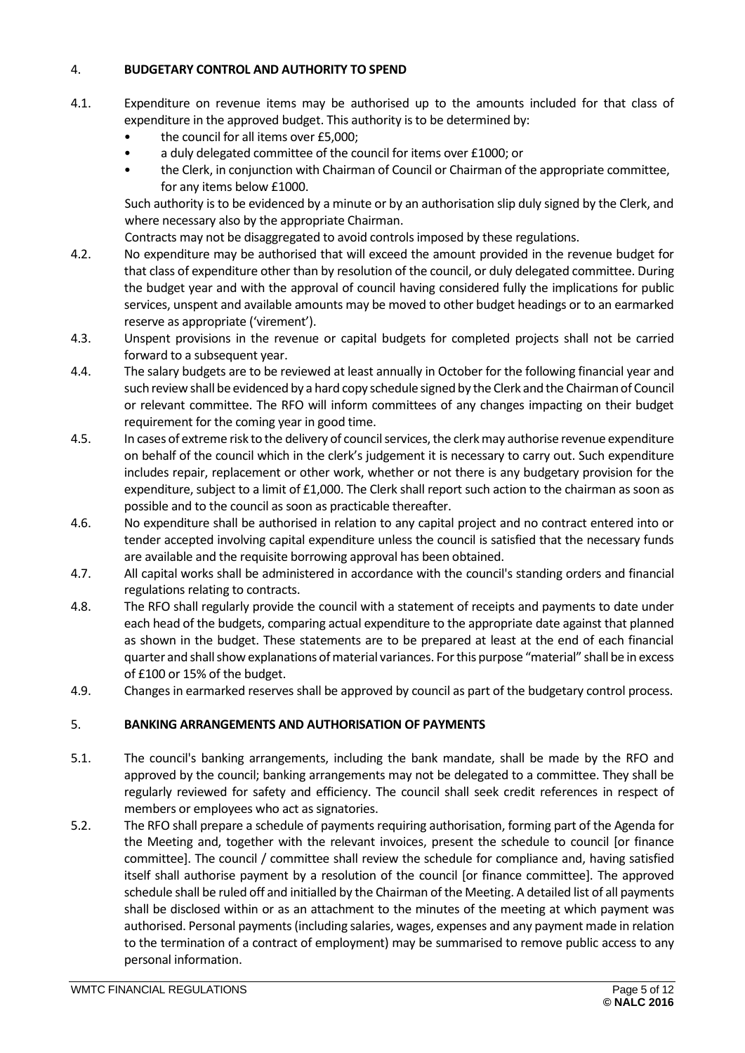#### 4. **BUDGETARY CONTROL AND AUTHORITY TO SPEND**

- 4.1. Expenditure on revenue items may be authorised up to the amounts included for that class of expenditure in the approved budget. This authority is to be determined by:
	- the council for all items over £5,000;
	- a duly delegated committee of the council for items over £1000; or
	- the Clerk, in conjunction with Chairman of Council or Chairman of the appropriate committee, for any items below £1000.

 Such authority is to be evidenced by a minute or by an authorisation slip duly signed by the Clerk, and where necessary also by the appropriate Chairman.

Contracts may not be disaggregated to avoid controls imposed by these regulations.

- 4.2. No expenditure may be authorised that will exceed the amount provided in the revenue budget for that class of expenditure other than by resolution of the council, or duly delegated committee. During the budget year and with the approval of council having considered fully the implications for public services, unspent and available amounts may be moved to other budget headings or to an earmarked reserve as appropriate ('virement').
- 4.3. Unspent provisions in the revenue or capital budgets for completed projects shall not be carried forward to a subsequent year.
- 4.4. The salary budgets are to be reviewed at least annually in October for the following financial year and such review shall be evidenced by a hard copy schedule signed by the Clerk and the Chairman of Council or relevant committee. The RFO will inform committees of any changes impacting on their budget requirement for the coming year in good time.
- 4.5. In cases of extreme risk to the delivery of council services, the clerk may authorise revenue expenditure on behalf of the council which in the clerk's judgement it is necessary to carry out. Such expenditure includes repair, replacement or other work, whether or not there is any budgetary provision for the expenditure, subject to a limit of £1,000. The Clerk shall report such action to the chairman as soon as possible and to the council as soon as practicable thereafter.
- 4.6. No expenditure shall be authorised in relation to any capital project and no contract entered into or tender accepted involving capital expenditure unless the council is satisfied that the necessary funds are available and the requisite borrowing approval has been obtained.
- 4.7. All capital works shall be administered in accordance with the council's standing orders and financial regulations relating to contracts.
- 4.8. The RFO shall regularly provide the council with a statement of receipts and payments to date under each head of the budgets, comparing actual expenditure to the appropriate date against that planned as shown in the budget. These statements are to be prepared at least at the end of each financial quarter and shall show explanations of material variances. For this purpose "material" shall be in excess of £100 or 15% of the budget.
- 4.9. Changes in earmarked reserves shall be approved by council as part of the budgetary control process.

### <span id="page-4-0"></span>5. **BANKING ARRANGEMENTS AND AUTHORISATION OF PAYMENTS**

- 5.1. The council's banking arrangements, including the bank mandate, shall be made by the RFO and approved by the council; banking arrangements may not be delegated to a committee. They shall be regularly reviewed for safety and efficiency. The council shall seek credit references in respect of members or employees who act as signatories.
- 5.2. The RFO shall prepare a schedule of payments requiring authorisation, forming part of the Agenda for the Meeting and, together with the relevant invoices, present the schedule to council [or finance committee]. The council / committee shall review the schedule for compliance and, having satisfied itself shall authorise payment by a resolution of the council [or finance committee]. The approved schedule shall be ruled off and initialled by the Chairman of the Meeting. A detailed list of all payments shall be disclosed within or as an attachment to the minutes of the meeting at which payment was authorised. Personal payments (including salaries, wages, expenses and any payment made in relation to the termination of a contract of employment) may be summarised to remove public access to any personal information.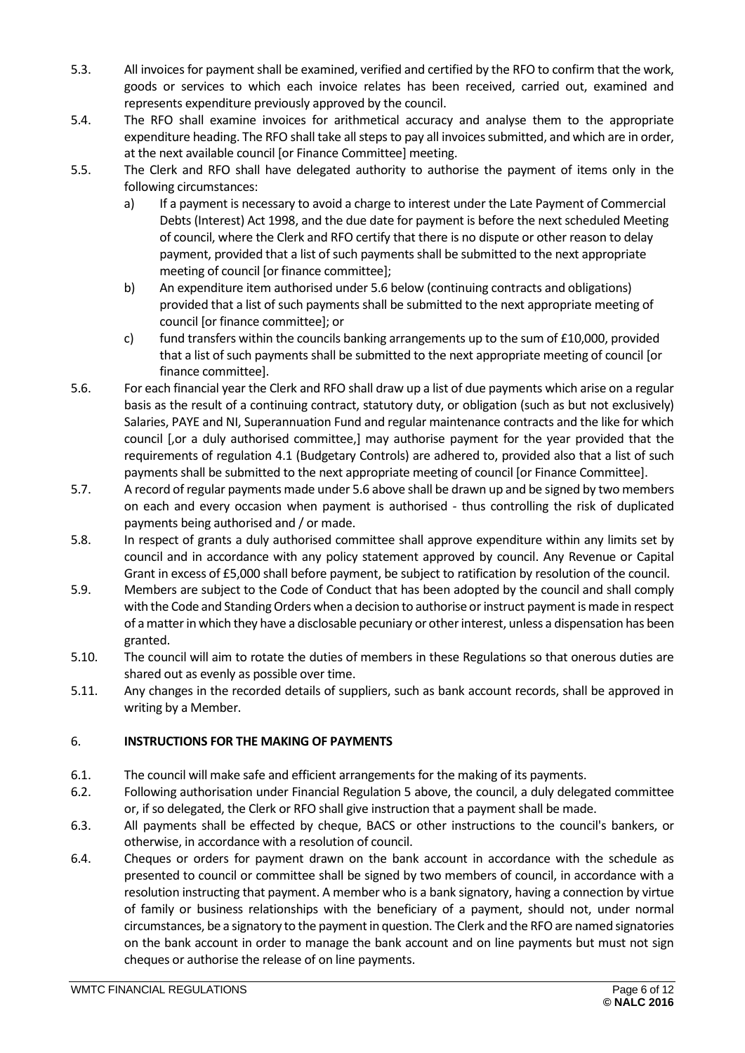- 5.3. All invoices for payment shall be examined, verified and certified by the RFO to confirm that the work, goods or services to which each invoice relates has been received, carried out, examined and represents expenditure previously approved by the council.
- 5.4. The RFO shall examine invoices for arithmetical accuracy and analyse them to the appropriate expenditure heading. The RFO shall take all steps to pay all invoices submitted, and which are in order, at the next available council [or Finance Committee] meeting.
- 5.5. The Clerk and RFO shall have delegated authority to authorise the payment of items only in the following circumstances:
	- a) If a payment is necessary to avoid a charge to interest under the Late Payment of Commercial Debts (Interest) Act 1998, and the due date for payment is before the next scheduled Meeting of council, where the Clerk and RFO certify that there is no dispute or other reason to delay payment, provided that a list of such payments shall be submitted to the next appropriate meeting of council [or finance committee];
	- b) An expenditure item authorised under 5.6 below (continuing contracts and obligations) provided that a list of such payments shall be submitted to the next appropriate meeting of council [or finance committee]; or
	- c) fund transfers within the councils banking arrangements up to the sum of £10,000, provided that a list of such payments shall be submitted to the next appropriate meeting of council [or finance committee].
- 5.6. For each financial year the Clerk and RFO shall draw up a list of due payments which arise on a regular basis as the result of a continuing contract, statutory duty, or obligation (such as but not exclusively) Salaries, PAYE and NI, Superannuation Fund and regular maintenance contracts and the like for which council [,or a duly authorised committee,] may authorise payment for the year provided that the requirements of regulation 4.1 (Budgetary Controls) are adhered to, provided also that a list of such payments shall be submitted to the next appropriate meeting of council [or Finance Committee].
- 5.7. A record of regular payments made under 5.6 above shall be drawn up and be signed by two members on each and every occasion when payment is authorised - thus controlling the risk of duplicated payments being authorised and / or made.
- 5.8. In respect of grants a duly authorised committee shall approve expenditure within any limits set by council and in accordance with any policy statement approved by council. Any Revenue or Capital Grant in excess of £5,000 shall before payment, be subject to ratification by resolution of the council.
- 5.9. Members are subject to the Code of Conduct that has been adopted by the council and shall comply with the Code and Standing Orders when a decision to authorise or instruct payment is made in respect of a matter in which they have a disclosable pecuniary or otherinterest, unless a dispensation has been granted.
- 5.10. The council will aim to rotate the duties of members in these Regulations so that onerous duties are shared out as evenly as possible over time.
- 5.11. Any changes in the recorded details of suppliers, such as bank account records, shall be approved in writing by a Member.

## <span id="page-5-0"></span>6. **INSTRUCTIONS FOR THE MAKING OF PAYMENTS**

- 6.1. The council will make safe and efficient arrangements for the making of its payments.
- 6.2. Following authorisation under Financial Regulation 5 above, the council, a duly delegated committee or, if so delegated, the Clerk or RFO shall give instruction that a payment shall be made.
- 6.3. All payments shall be effected by cheque, BACS or other instructions to the council's bankers, or otherwise, in accordance with a resolution of council.
- 6.4. Cheques or orders for payment drawn on the bank account in accordance with the schedule as presented to council or committee shall be signed by two members of council, in accordance with a resolution instructing that payment. A member who is a bank signatory, having a connection by virtue of family or business relationships with the beneficiary of a payment, should not, under normal circumstances, be a signatory to the paymentin question. The Clerk and the RFO are named signatories on the bank account in order to manage the bank account and on line payments but must not sign cheques or authorise the release of on line payments.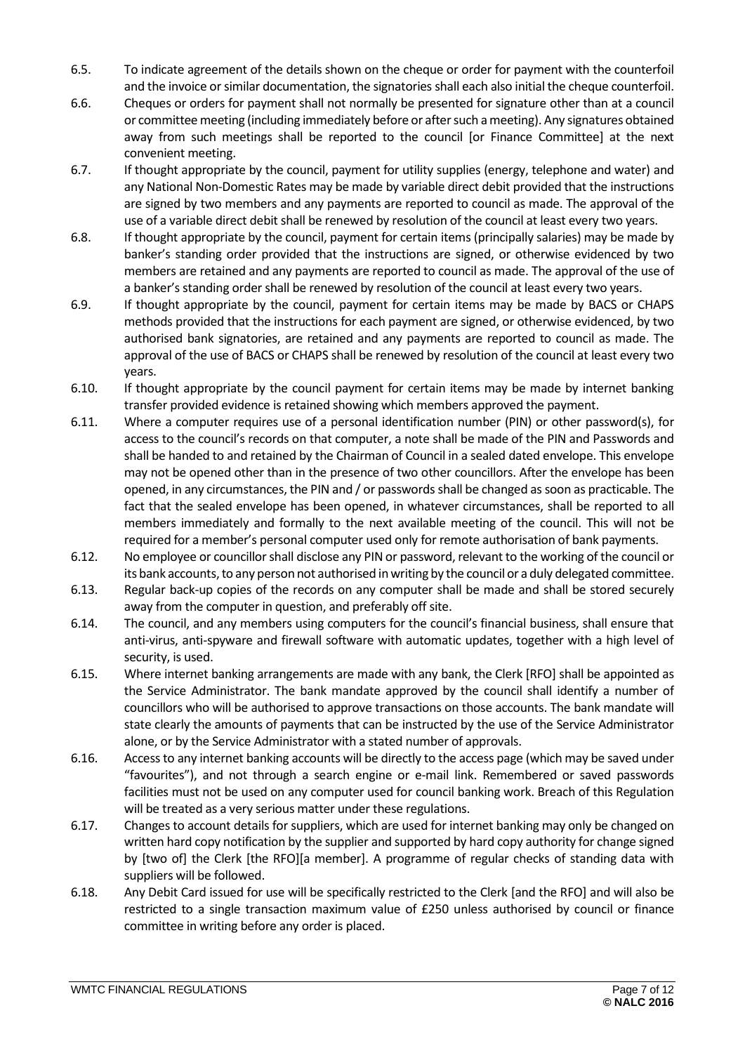- 6.5. To indicate agreement of the details shown on the cheque or order for payment with the counterfoil and the invoice or similar documentation, the signatories shall each also initial the cheque counterfoil.
- 6.6. Cheques or orders for payment shall not normally be presented for signature other than at a council or committee meeting (including immediately before or after such a meeting). Any signatures obtained away from such meetings shall be reported to the council [or Finance Committee] at the next convenient meeting.
- 6.7. If thought appropriate by the council, payment for utility supplies (energy, telephone and water) and any National Non-Domestic Rates may be made by variable direct debit provided that the instructions are signed by two members and any payments are reported to council as made. The approval of the use of a variable direct debit shall be renewed by resolution of the council at least every two years.
- 6.8. If thought appropriate by the council, payment for certain items (principally salaries) may be made by banker's standing order provided that the instructions are signed, or otherwise evidenced by two members are retained and any payments are reported to council as made. The approval of the use of a banker's standing order shall be renewed by resolution of the council at least every two years.
- 6.9. If thought appropriate by the council, payment for certain items may be made by BACS or CHAPS methods provided that the instructions for each payment are signed, or otherwise evidenced, by two authorised bank signatories, are retained and any payments are reported to council as made. The approval of the use of BACS or CHAPS shall be renewed by resolution of the council at least every two years.
- 6.10. If thought appropriate by the council payment for certain items may be made by internet banking transfer provided evidence is retained showing which members approved the payment.
- 6.11. Where a computer requires use of a personal identification number (PIN) or other password(s), for access to the council's records on that computer, a note shall be made of the PIN and Passwords and shall be handed to and retained by the Chairman of Council in a sealed dated envelope. This envelope may not be opened other than in the presence of two other councillors. After the envelope has been opened, in any circumstances, the PIN and / or passwords shall be changed as soon as practicable. The fact that the sealed envelope has been opened, in whatever circumstances, shall be reported to all members immediately and formally to the next available meeting of the council. This will not be required for a member's personal computer used only for remote authorisation of bank payments.
- 6.12. No employee or councillorshall disclose any PIN or password, relevant to the working of the council or its bank accounts, to any person not authorised in writing by the council or a duly delegated committee.
- 6.13. Regular back-up copies of the records on any computer shall be made and shall be stored securely away from the computer in question, and preferably off site.
- 6.14. The council, and any members using computers for the council's financial business, shall ensure that anti-virus, anti-spyware and firewall software with automatic updates, together with a high level of security, is used.
- 6.15. Where internet banking arrangements are made with any bank, the Clerk [RFO] shall be appointed as the Service Administrator. The bank mandate approved by the council shall identify a number of councillors who will be authorised to approve transactions on those accounts. The bank mandate will state clearly the amounts of payments that can be instructed by the use of the Service Administrator alone, or by the Service Administrator with a stated number of approvals.
- 6.16. Access to any internet banking accounts will be directly to the access page (which may be saved under "favourites"), and not through a search engine or e-mail link. Remembered or saved passwords facilities must not be used on any computer used for council banking work. Breach of this Regulation will be treated as a very serious matter under these regulations.
- 6.17. Changes to account details for suppliers, which are used for internet banking may only be changed on written hard copy notification by the supplier and supported by hard copy authority for change signed by [two of] the Clerk [the RFO][a member]. A programme of regular checks of standing data with suppliers will be followed.
- 6.18. Any Debit Card issued for use will be specifically restricted to the Clerk [and the RFO] and will also be restricted to a single transaction maximum value of £250 unless authorised by council or finance committee in writing before any order is placed.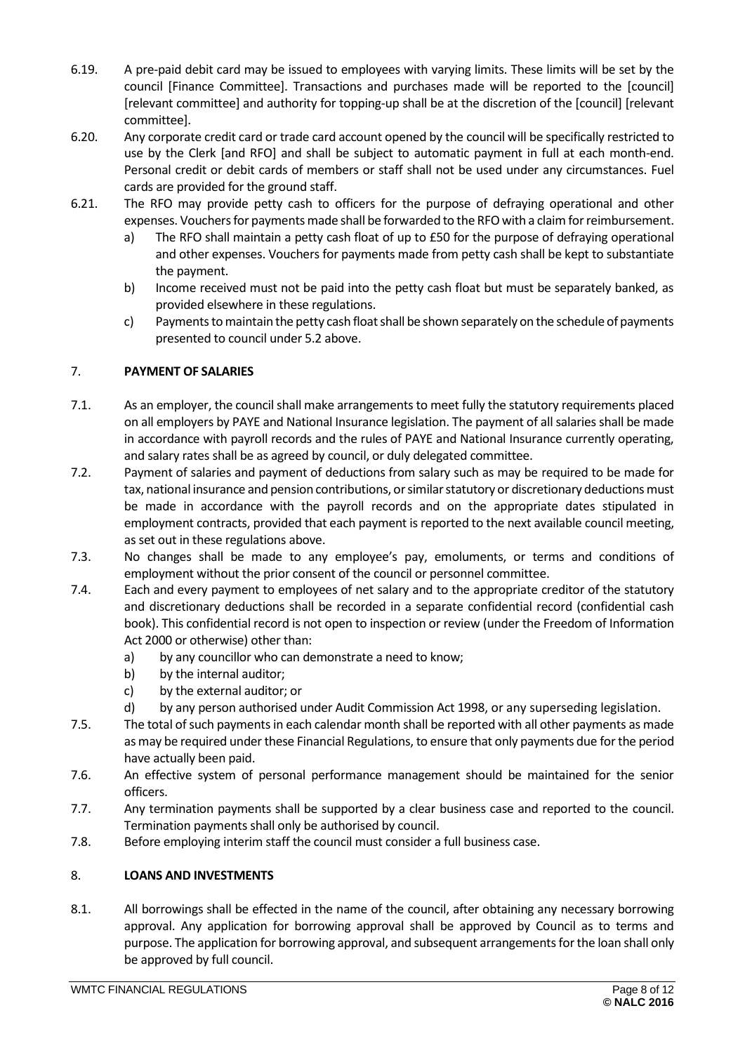- 6.19. A pre-paid debit card may be issued to employees with varying limits. These limits will be set by the council [Finance Committee]. Transactions and purchases made will be reported to the [council] [relevant committee] and authority for topping-up shall be at the discretion of the [council] [relevant committee].
- 6.20. Any corporate credit card or trade card account opened by the council will be specifically restricted to use by the Clerk [and RFO] and shall be subject to automatic payment in full at each month-end. Personal credit or debit cards of members or staff shall not be used under any circumstances. Fuel cards are provided for the ground staff.
- 6.21. The RFO may provide petty cash to officers for the purpose of defraying operational and other expenses. Vouchers for payments made shall be forwarded to the RFO with a claim for reimbursement.
	- a) The RFO shall maintain a petty cash float of up to £50 for the purpose of defraying operational and other expenses. Vouchers for payments made from petty cash shall be kept to substantiate the payment.
	- b) Income received must not be paid into the petty cash float but must be separately banked, as provided elsewhere in these regulations.
	- c) Payments to maintain the petty cash float shall be shown separately on the schedule of payments presented to council under 5.2 above.

## <span id="page-7-0"></span>7. **PAYMENT OF SALARIES**

- 7.1. As an employer, the council shall make arrangements to meet fully the statutory requirements placed on all employers by PAYE and National Insurance legislation. The payment of all salaries shall be made in accordance with payroll records and the rules of PAYE and National Insurance currently operating, and salary rates shall be as agreed by council, or duly delegated committee.
- 7.2. Payment of salaries and payment of deductions from salary such as may be required to be made for tax, national insurance and pension contributions, or similar statutory or discretionary deductions must be made in accordance with the payroll records and on the appropriate dates stipulated in employment contracts, provided that each payment is reported to the next available council meeting, as set out in these regulations above.
- 7.3. No changes shall be made to any employee's pay, emoluments, or terms and conditions of employment without the prior consent of the council or personnel committee.
- 7.4. Each and every payment to employees of net salary and to the appropriate creditor of the statutory and discretionary deductions shall be recorded in a separate confidential record (confidential cash book). This confidential record is not open to inspection or review (under the Freedom of Information Act 2000 or otherwise) other than:
	- a) by any councillor who can demonstrate a need to know;
	- b) by the internal auditor;
	- c) by the external auditor; or
	- d) by any person authorised under Audit Commission Act 1998, or any superseding legislation.
- 7.5. The total of such payments in each calendar month shall be reported with all other payments as made as may be required under these Financial Regulations, to ensure that only payments due for the period have actually been paid.
- 7.6. An effective system of personal performance management should be maintained for the senior officers.
- 7.7. Any termination payments shall be supported by a clear business case and reported to the council. Termination payments shall only be authorised by council.
- 7.8. Before employing interim staff the council must consider a full business case.

### <span id="page-7-1"></span>8. **LOANS AND INVESTMENTS**

8.1. All borrowings shall be effected in the name of the council, after obtaining any necessary borrowing approval. Any application for borrowing approval shall be approved by Council as to terms and purpose. The application for borrowing approval, and subsequent arrangements for the loan shall only be approved by full council.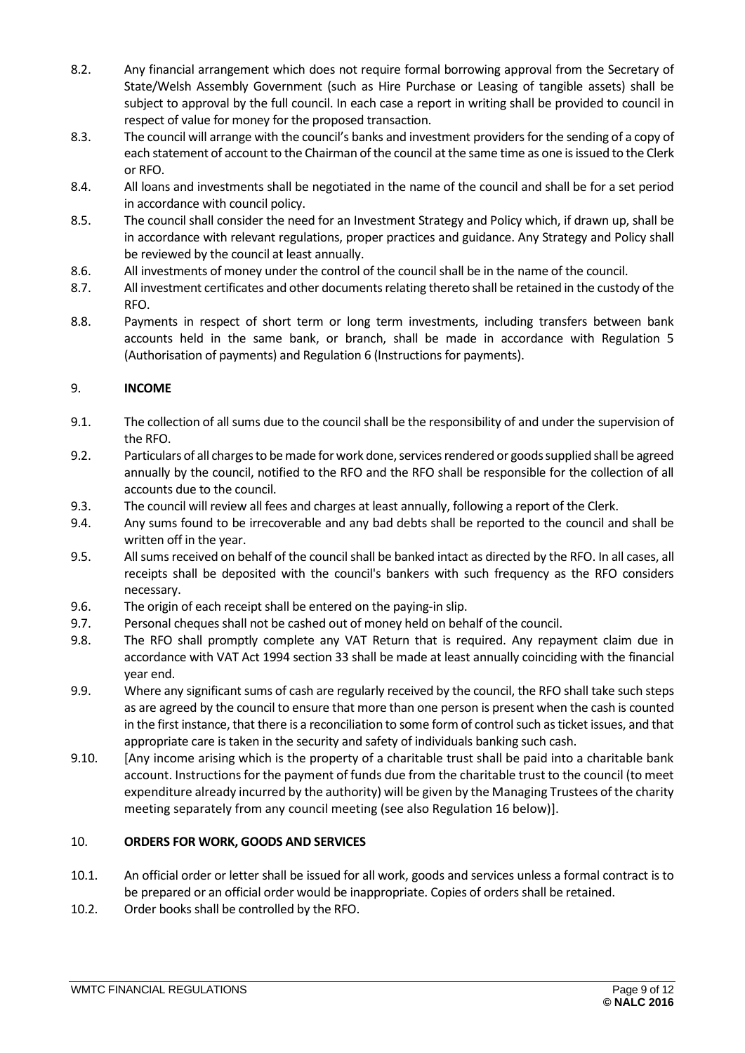- 8.2. Any financial arrangement which does not require formal borrowing approval from the Secretary of State/Welsh Assembly Government (such as Hire Purchase or Leasing of tangible assets) shall be subject to approval by the full council. In each case a report in writing shall be provided to council in respect of value for money for the proposed transaction.
- 8.3. The council will arrange with the council's banks and investment providersfor the sending of a copy of each statement of account to the Chairman of the council at the same time as one is issued to the Clerk or RFO.
- 8.4. All loans and investments shall be negotiated in the name of the council and shall be for a set period in accordance with council policy.
- 8.5. The council shall consider the need for an Investment Strategy and Policy which, if drawn up, shall be in accordance with relevant regulations, proper practices and guidance. Any Strategy and Policy shall be reviewed by the council at least annually.
- 8.6. All investments of money under the control of the council shall be in the name of the council.
- 8.7. All investment certificates and other documents relating thereto shall be retained in the custody of the RFO.
- 8.8. Payments in respect of short term or long term investments, including transfers between bank accounts held in the same bank, or branch, shall be made in accordance with Regulation 5 (Authorisation of payments) and Regulation 6 (Instructions for payments).

# <span id="page-8-0"></span>9. **INCOME**

- 9.1. The collection of all sums due to the council shall be the responsibility of and under the supervision of the RFO.
- 9.2. Particulars of all charges to be made for work done, services rendered or goods supplied shall be agreed annually by the council, notified to the RFO and the RFO shall be responsible for the collection of all accounts due to the council.
- 9.3. The council will review all fees and charges at least annually, following a report of the Clerk.
- 9.4. Any sums found to be irrecoverable and any bad debts shall be reported to the council and shall be written off in the year.
- 9.5. All sums received on behalf of the council shall be banked intact as directed by the RFO. In all cases, all receipts shall be deposited with the council's bankers with such frequency as the RFO considers necessary.
- 9.6. The origin of each receipt shall be entered on the paying-in slip.
- 9.7. Personal cheques shall not be cashed out of money held on behalf of the council.
- 9.8. The RFO shall promptly complete any VAT Return that is required. Any repayment claim due in accordance with VAT Act 1994 section 33 shall be made at least annually coinciding with the financial year end.
- 9.9. Where any significant sums of cash are regularly received by the council, the RFO shall take such steps as are agreed by the council to ensure that more than one person is present when the cash is counted in the first instance, that there is a reconciliation to some form of control such as ticket issues, and that appropriate care is taken in the security and safety of individuals banking such cash.
- 9.10. [Any income arising which is the property of a charitable trust shall be paid into a charitable bank account. Instructions for the payment of funds due from the charitable trust to the council (to meet expenditure already incurred by the authority) will be given by the Managing Trustees of the charity meeting separately from any council meeting (see also Regulation 16 below)].

## <span id="page-8-1"></span>10. **ORDERS FOR WORK, GOODS AND SERVICES**

- 10.1. An official order or letter shall be issued for all work, goods and services unless a formal contract is to be prepared or an official order would be inappropriate. Copies of orders shall be retained.
- 10.2. Order books shall be controlled by the RFO.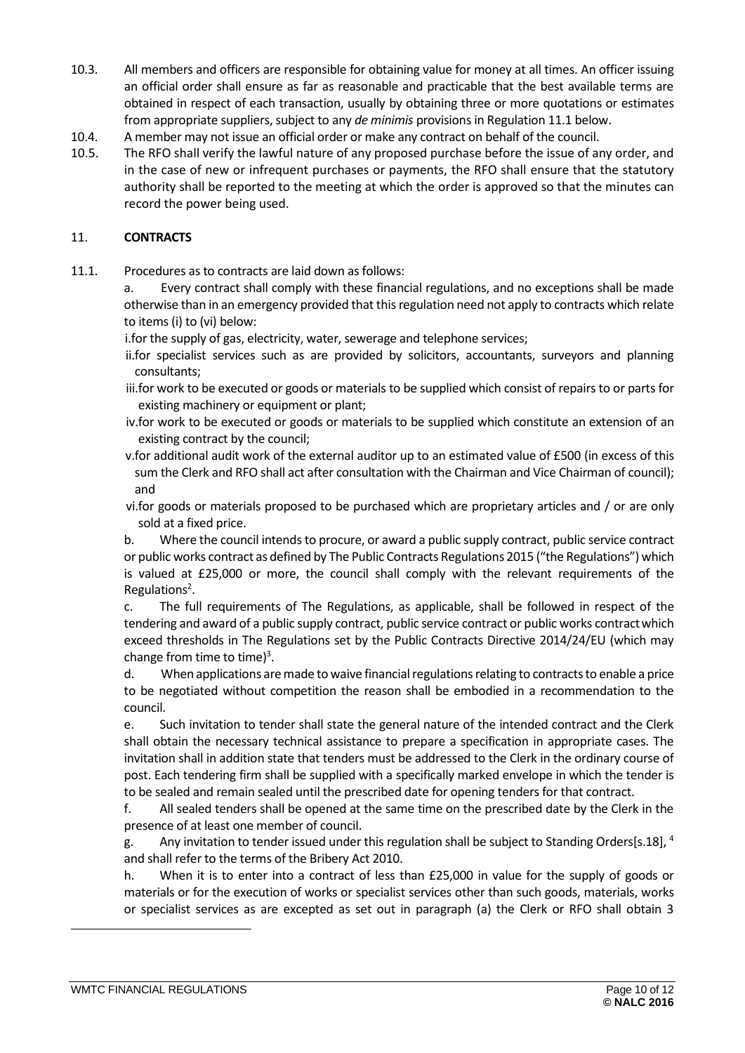- 10.3. All members and officers are responsible for obtaining value for money at all times. An officer issuing an official order shall ensure as far as reasonable and practicable that the best available terms are obtained in respect of each transaction, usually by obtaining three or more quotations or estimates from appropriate suppliers, subject to any *de minimis* provisions in Regulation 11.1 below.
- 10.4. A member may not issue an official order or make any contract on behalf of the council.
- 10.5. The RFO shall verify the lawful nature of any proposed purchase before the issue of any order, and in the case of new or infrequent purchases or payments, the RFO shall ensure that the statutory authority shall be reported to the meeting at which the order is approved so that the minutes can record the power being used.

#### <span id="page-9-0"></span>11. **CONTRACTS**

11.1. Procedures as to contracts are laid down as follows:

a. Every contract shall comply with these financial regulations, and no exceptions shall be made otherwise than in an emergency provided that this regulation need not apply to contracts which relate to items (i) to (vi) below:

i.for the supply of gas, electricity, water, sewerage and telephone services;

- ii.for specialist services such as are provided by solicitors, accountants, surveyors and planning consultants;
- iii.for work to be executed or goods or materials to be supplied which consist of repairs to or parts for existing machinery or equipment or plant;
- iv.for work to be executed or goods or materials to be supplied which constitute an extension of an existing contract by the council;
- v.for additional audit work of the external auditor up to an estimated value of £500 (in excess of this sum the Clerk and RFO shall act after consultation with the Chairman and Vice Chairman of council); and

vi.for goods or materials proposed to be purchased which are proprietary articles and / or are only sold at a fixed price.

b. Where the council intends to procure, or award a public supply contract, public service contract or public works contract as defined by The Public Contracts Regulations 2015 ("the Regulations") which is valued at £25,000 or more, the council shall comply with the relevant requirements of the Regulations<sup>2</sup>.

c. The full requirements of The Regulations, as applicable, shall be followed in respect of the tendering and award of a public supply contract, public service contract or public works contractwhich exceed thresholds in The Regulations set by the Public Contracts Directive 2014/24/EU (which may change from time to time)<sup>3</sup>.

d. When applications are made to waive financial regulations relating to contracts to enable a price to be negotiated without competition the reason shall be embodied in a recommendation to the council.

e. Such invitation to tender shall state the general nature of the intended contract and the Clerk shall obtain the necessary technical assistance to prepare a specification in appropriate cases. The invitation shall in addition state that tenders must be addressed to the Clerk in the ordinary course of post. Each tendering firm shall be supplied with a specifically marked envelope in which the tender is to be sealed and remain sealed until the prescribed date for opening tenders for that contract.

f. All sealed tenders shall be opened at the same time on the prescribed date by the Clerk in the presence of at least one member of council.

g. Any invitation to tender issued under this regulation shall be subject to Standing Orders[s.18],  $^4$ and shall refer to the terms of the Bribery Act 2010.

h. When it is to enter into a contract of less than £25,000 in value for the supply of goods or materials or for the execution of works or specialist services other than such goods, materials, works or specialist services as are excepted as set out in paragraph (a) the Clerk or RFO shall obtain 3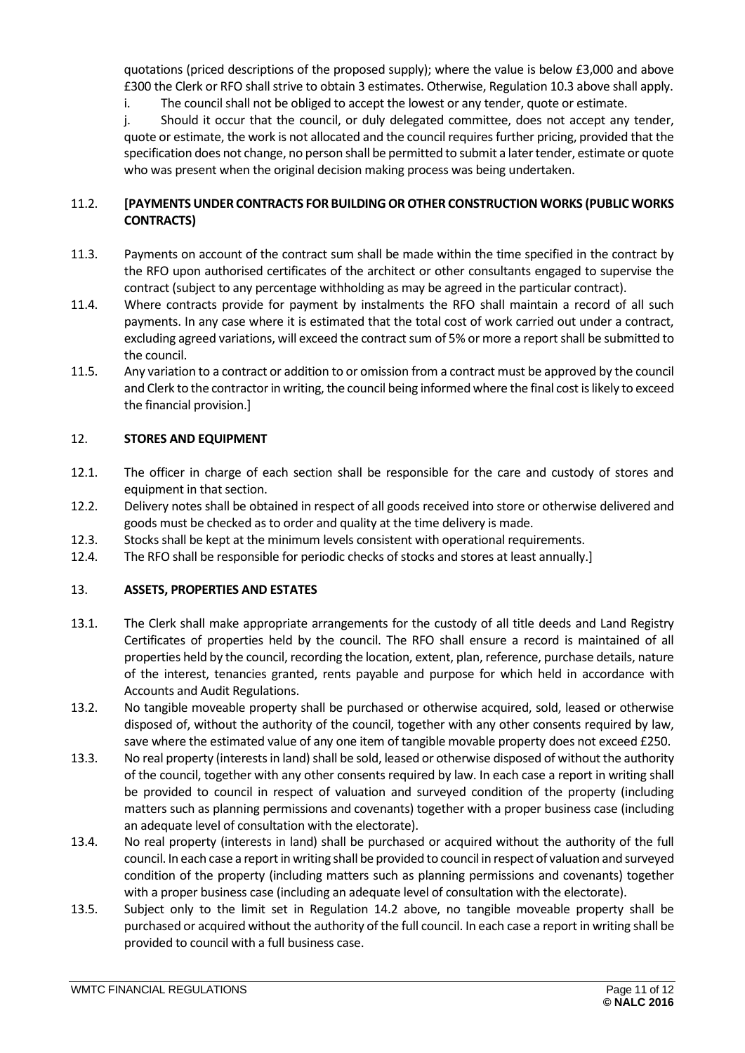quotations (priced descriptions of the proposed supply); where the value is below £3,000 and above £300 the Clerk or RFO shall strive to obtain 3 estimates. Otherwise, Regulation 10.3 above shall apply.

i. The council shall not be obliged to accept the lowest or any tender, quote or estimate.

j. Should it occur that the council, or duly delegated committee, does not accept any tender, quote or estimate, the work is not allocated and the council requires further pricing, provided that the specification does not change, no person shall be permitted to submit a later tender, estimate or quote who was present when the original decision making process was being undertaken.

## <span id="page-10-0"></span>11.2. **[PAYMENTS UNDER CONTRACTS FOR BUILDING OR OTHER CONSTRUCTION WORKS (PUBLIC WORKS CONTRACTS)**

- 11.3. Payments on account of the contract sum shall be made within the time specified in the contract by the RFO upon authorised certificates of the architect or other consultants engaged to supervise the contract (subject to any percentage withholding as may be agreed in the particular contract).
- 11.4. Where contracts provide for payment by instalments the RFO shall maintain a record of all such payments. In any case where it is estimated that the total cost of work carried out under a contract, excluding agreed variations, will exceed the contract sum of 5% or more a report shall be submitted to the council.
- 11.5. Any variation to a contract or addition to or omission from a contract must be approved by the council and Clerk to the contractor in writing, the council being informed where the final cost is likely to exceed the financial provision.]

## <span id="page-10-1"></span>12. **STORES AND EQUIPMENT**

- 12.1. The officer in charge of each section shall be responsible for the care and custody of stores and equipment in that section.
- 12.2. Delivery notes shall be obtained in respect of all goods received into store or otherwise delivered and goods must be checked as to order and quality at the time delivery is made.
- 12.3. Stocks shall be kept at the minimum levels consistent with operational requirements.
- 12.4. The RFO shall be responsible for periodic checks of stocks and stores at least annually.]

## <span id="page-10-2"></span>13. **ASSETS, PROPERTIES AND ESTATES**

- 13.1. The Clerk shall make appropriate arrangements for the custody of all title deeds and Land Registry Certificates of properties held by the council. The RFO shall ensure a record is maintained of all properties held by the council, recording the location, extent, plan, reference, purchase details, nature of the interest, tenancies granted, rents payable and purpose for which held in accordance with Accounts and Audit Regulations.
- 13.2. No tangible moveable property shall be purchased or otherwise acquired, sold, leased or otherwise disposed of, without the authority of the council, together with any other consents required by law, save where the estimated value of any one item of tangible movable property does not exceed £250.
- 13.3. No real property (interests in land) shall be sold, leased or otherwise disposed of without the authority of the council, together with any other consents required by law. In each case a report in writing shall be provided to council in respect of valuation and surveyed condition of the property (including matters such as planning permissions and covenants) together with a proper business case (including an adequate level of consultation with the electorate).
- 13.4. No real property (interests in land) shall be purchased or acquired without the authority of the full council. In each case a report in writing shall be provided to council in respect of valuation and surveyed condition of the property (including matters such as planning permissions and covenants) together with a proper business case (including an adequate level of consultation with the electorate).
- 13.5. Subject only to the limit set in Regulation 14.2 above, no tangible moveable property shall be purchased or acquired without the authority of the full council. In each case a report in writing shall be provided to council with a full business case.